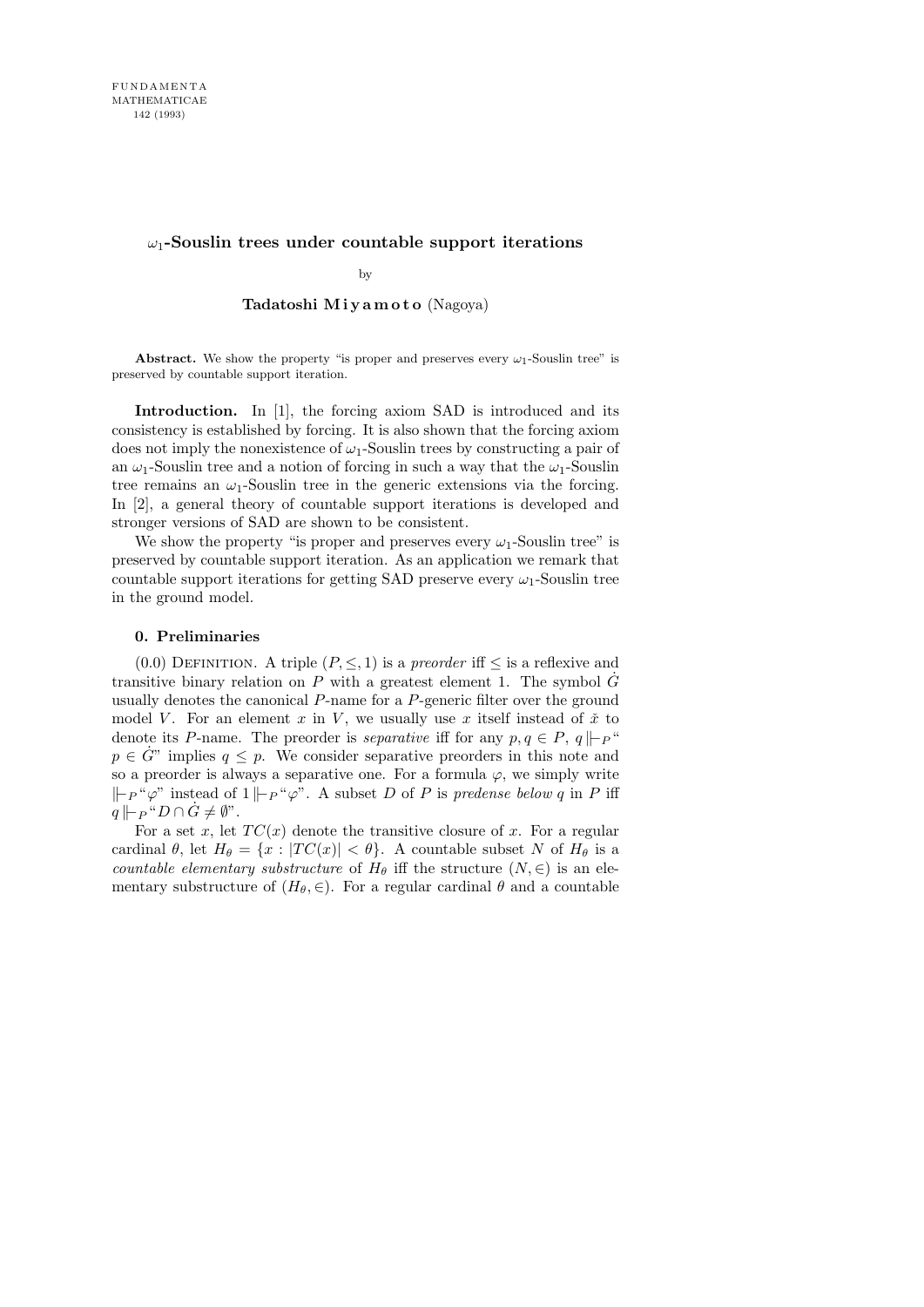# ω1**-Souslin trees under countable support iterations**

by

## Tadatoshi Miyamoto (Nagoya)

**Abstract.** We show the property "is proper and preserves every  $\omega_1$ -Souslin tree" is preserved by countable support iteration.

Introduction. In [1], the forcing axiom SAD is introduced and its consistency is established by forcing. It is also shown that the forcing axiom does not imply the nonexistence of  $\omega_1$ -Souslin trees by constructing a pair of an  $\omega_1$ -Souslin tree and a notion of forcing in such a way that the  $\omega_1$ -Souslin tree remains an  $\omega_1$ -Souslin tree in the generic extensions via the forcing. In [2], a general theory of countable support iterations is developed and stronger versions of SAD are shown to be consistent.

We show the property "is proper and preserves every  $\omega_1$ -Souslin tree" is preserved by countable support iteration. As an application we remark that countable support iterations for getting SAD preserve every  $\omega_1$ -Souslin tree in the ground model.

## 0. Preliminaries

(0.0) DEFINITION. A triple  $(P, \leq, 1)$  is a *preorder* iff  $\leq$  is a reflexive and transitive binary relation on P with a greatest element 1. The symbol  $\ddot{G}$ usually denotes the canonical P-name for a P-generic filter over the ground model V. For an element  $x$  in  $V$ , we usually use  $x$  itself instead of  $\check{x}$  to denote its P-name. The preorder is *separative* iff for any  $p, q \in P$ ,  $q \Vdash_{P}$ "  $p \in \dot{G}^n$  implies  $q \leq p$ . We consider separative preorders in this note and so a preorder is always a separative one. For a formula  $\varphi$ , we simply write  $k ⊢ P$  " $\varphi$ " instead of 1  $\vdash_{P}$  " $\varphi$ ". A subset D of P is predense below q in P iff  $q \Vdash_{P} "D \cap G \neq \emptyset".$ 

For a set x, let  $TC(x)$  denote the transitive closure of x. For a regular cardinal  $\theta$ , let  $H_{\theta} = \{x : |TC(x)| < \theta\}$ . A countable subset N of  $H_{\theta}$  is a countable elementary substructure of  $H_{\theta}$  iff the structure  $(N, \in)$  is an elementary substructure of  $(H_\theta, \in)$ . For a regular cardinal  $\theta$  and a countable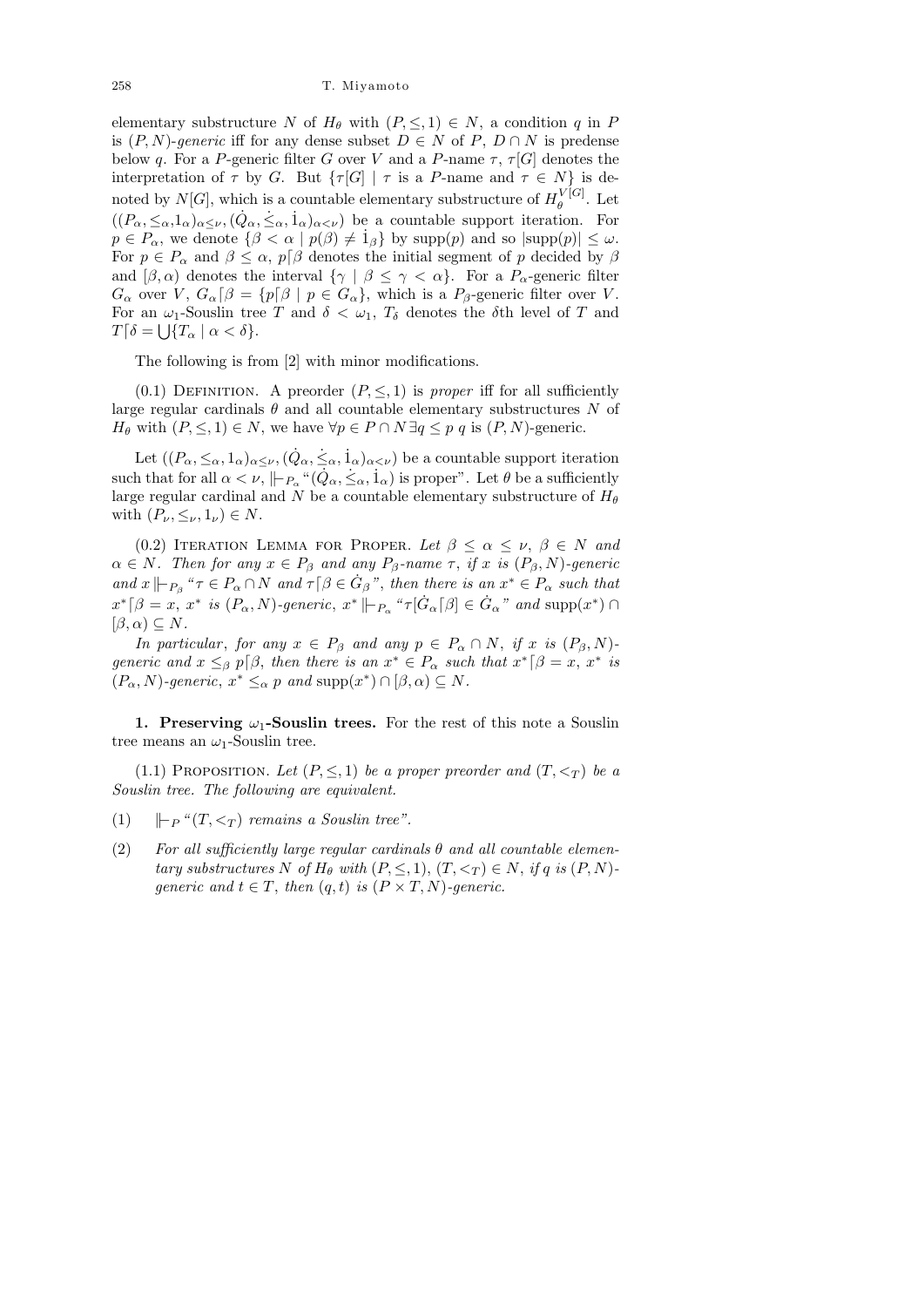elementary substructure N of  $H_{\theta}$  with  $(P, \leq, 1) \in N$ , a condition q in P is  $(P, N)$ -generic iff for any dense subset  $D \in N$  of  $P, D \cap N$  is predense below q. For a P-generic filter G over V and a P-name  $\tau$ ,  $\tau[G]$  denotes the interpretation of  $\tau$  by G. But  $\{\tau[G] | \tau$  is a P-name and  $\tau \in N\}$  is denoted by  $N[G]$ , which is a countable elementary substructure of  $H_{\theta}^{V[G]}$  $_{\theta}^{\nu}$  [G]. Let  $((P_\alpha, \leq_\alpha, 1_\alpha)_{\alpha \leq \nu}, (\dot{Q}_\alpha, \dot{\leq}_\alpha, \dot{1}_\alpha)_{\alpha \leq \nu})$  be a countable support iteration. For  $p \in P_\alpha$ , we denote  $\{\beta < \alpha \mid p(\beta) \neq \hat{1}_\beta\}$  by  $\text{supp}(p)$  and so  $|\text{supp}(p)| \leq \omega$ . For  $p \in P_\alpha$  and  $\beta \leq \alpha$ ,  $p[\beta]$  denotes the initial segment of p decided by  $\beta$ and  $[\beta, \alpha)$  denotes the interval  $\{\gamma \mid \beta \leq \gamma < \alpha\}$ . For a  $P_{\alpha}$ -generic filter  $G_{\alpha}$  over V,  $G_{\alpha}[\beta] = \{p[\beta] | p \in G_{\alpha}\}\$ , which is a  $P_{\beta}$ -generic filter over V. For an  $\omega_1$ -Souslin tree T and  $\delta < \omega_1$ ,  $T_{\delta}$  denotes the  $\delta$ th level of T and  $T[\delta = \bigcup \{T_\alpha \mid \alpha < \delta\}.$ 

The following is from [2] with minor modifications.

(0.1) DEFINITION. A preorder  $(P, \leq, 1)$  is proper iff for all sufficiently large regular cardinals  $\theta$  and all countable elementary substructures N of  $H_{\theta}$  with  $(P, \leq, 1) \in N$ , we have  $\forall p \in P \cap N \exists q \leq p \ q$  is  $(P, N)$ -generic.

Let  $((P_\alpha,\leq_\alpha,1_\alpha)_{\alpha\leq\nu},(\dot{Q}_\alpha,\dot{\leq}_\alpha,\dot{1}_\alpha)_{\alpha<\nu})$  be a countable support iteration such that for all  $\alpha < \nu$ ,  $\|P_{P_{\alpha}}^{\alpha}(\dot{Q}_{\alpha}, \dot{\le}_{\alpha}, \dot{1}_{\alpha})$  is proper". Let  $\theta$  be a sufficiently large regular cardinal and N be a countable elementary substructure of  $H_{\theta}$ with  $(P_{\nu}, \leq_{\nu}, 1_{\nu}) \in N$ .

(0.2) ITERATION LEMMA FOR PROPER. Let  $\beta < \alpha < \nu$ ,  $\beta \in N$  and  $\alpha \in N$ . Then for any  $x \in P_\beta$  and any  $P_\beta$ -name  $\tau$ , if x is  $(P_\beta, N)$ -generic and  $x \Vdash_{P_\beta}$  " $\tau \in P_\alpha \cap N$  and  $\tau \upharpoonright \beta \in \dot{G}_\beta$ ", then there is an  $x^* \in P_\alpha$  such that  $x^*$  [ $\beta = x, x^*$  is  $(P_\alpha, N)$ -generic,  $x^*$   $\|\vdash_{P_\alpha}$  " $\tau[\dot{G}_\alpha[\beta] \in \dot{G}_\alpha$ " and  $\text{supp}(x^*) \cap$  $[\beta,\alpha)\subseteq N$ .

In particular, for any  $x \in P_\beta$  and any  $p \in P_\alpha \cap N$ , if x is  $(P_\beta, N)$ generic and  $x \leq_{\beta} p[\beta]$ , then there is an  $x^* \in P_{\alpha}$  such that  $x^*[\beta = x, x^*$  is  $(P_\alpha, N)$ -generic,  $x^* \leq_\alpha p$  and  $\text{supp}(x^*) \cap [\beta, \alpha) \subseteq N$ .

1. Preserving  $\omega_1$ -Souslin trees. For the rest of this note a Souslin tree means an  $\omega_1$ -Souslin tree.

(1.1) PROPOSITION. Let  $(P, \leq, 1)$  be a proper preorder and  $(T, \leq_T)$  be a Souslin tree. The following are equivalent.

- (1)  $\Vert \vdash_{P} \lvert f(T, \leq_T )$  remains a Souslin tree".
- (2) For all sufficiently large regular cardinals  $\theta$  and all countable elementary substructures N of  $H_{\theta}$  with  $(P, \leq, 1), (T, \leq_T) \in N$ , if q is  $(P, N)$ generic and  $t \in T$ , then  $(q, t)$  is  $(P \times T, N)$ -generic.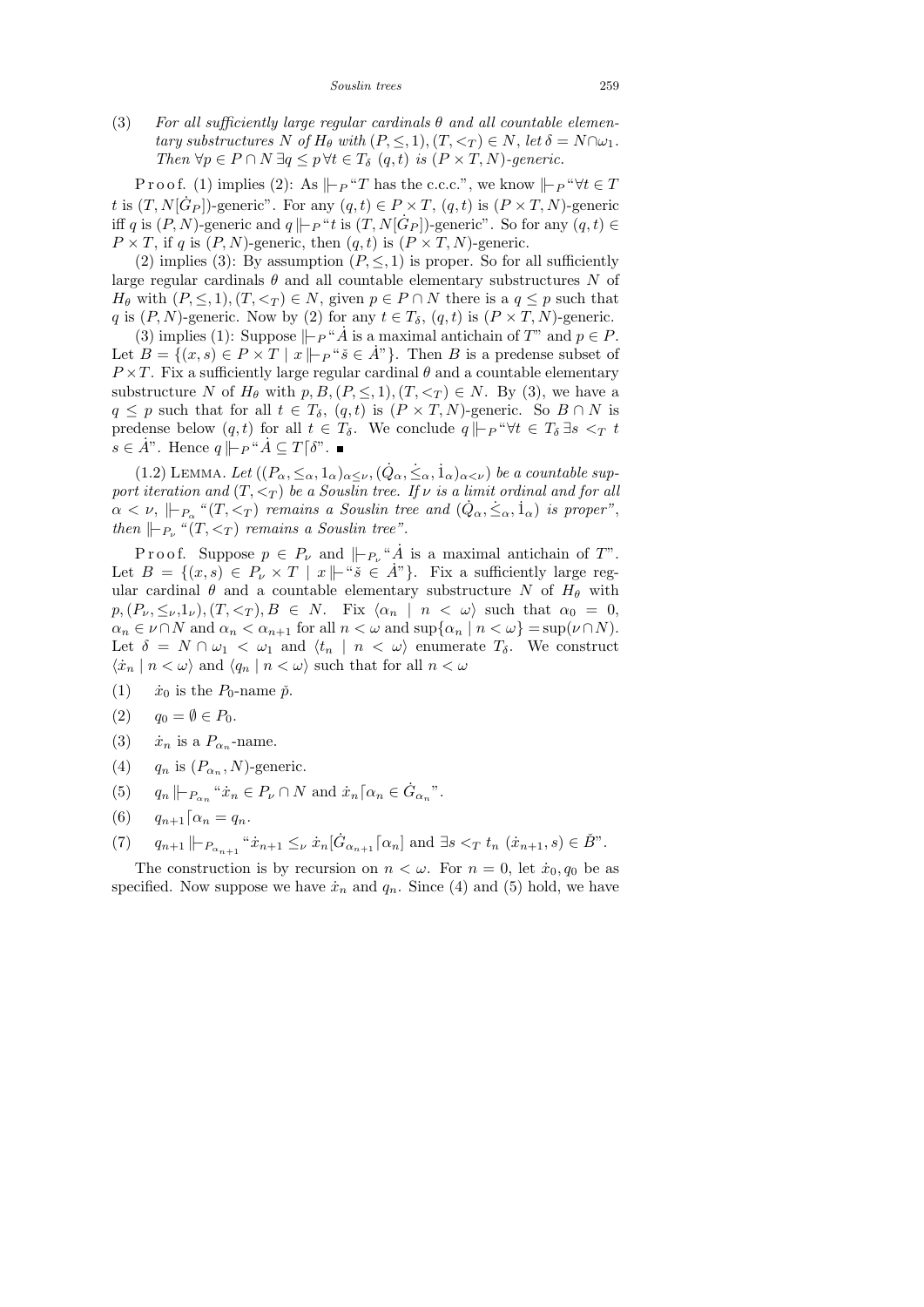*Souslin trees* 259

(3) For all sufficiently large regular cardinals  $\theta$  and all countable elementary substructures N of  $H_{\theta}$  with  $(P, \leq, 1), (T, \leq_T) \in N$ , let  $\delta = N \cap \omega_1$ . Then  $\forall p \in P \cap N \exists q \leq p \forall t \in T_{\delta} (q, t)$  is  $(P \times T, N)$ -generic.

P r o o f. (1) implies (2): As  $\Vert \vdash_{P} \Upsilon$  has the c.c.c.", we know  $\Vert \vdash_{P} \Upsilon$   $\forall t \in T$ t is  $(T, N[\dot{G}_P])$ -generic". For any  $(q, t) \in P \times T$ ,  $(q, t)$  is  $(P \times T, N)$ -generic iff q is  $(P, N)$ -generic and  $q \Vdash_{P} "t$  is  $(T, N[\dot{G}_P])$ -generic". So for any  $(q, t) \in$  $P \times T$ , if q is  $(P, N)$ -generic, then  $(q, t)$  is  $(P \times T, N)$ -generic.

(2) implies (3): By assumption  $(P, \leq, 1)$  is proper. So for all sufficiently large regular cardinals  $\theta$  and all countable elementary substructures N of  $H_{\theta}$  with  $(P, \leq, 1), (T, \leq_T) \in N$ , given  $p \in P \cap N$  there is a  $q \leq p$  such that q is  $(P, N)$ -generic. Now by (2) for any  $t \in T_\delta$ ,  $(q, t)$  is  $(P \times T, N)$ -generic.

(3) implies (1): Suppose  $\vdash_{P}$  "A<sup>\*</sup> is a maximal antichain of T" and  $p \in P$ . Let  $B = \{(x, s) \in P \times T \mid x \mid p \leq \check{s} \in \check{A}^n\}$ . Then B is a predense subset of  $P \times T$ . Fix a sufficiently large regular cardinal  $\theta$  and a countable elementary substructure N of  $H_{\theta}$  with  $p, B, (P, \leq, 1), (T, \leq_T) \in N$ . By (3), we have a  $q \leq p$  such that for all  $t \in T_\delta$ ,  $(q, t)$  is  $(P \times T, N)$ -generic. So  $B \cap N$  is predense below  $(q, t)$  for all  $t \in T_\delta$ . We conclude  $q \Vdash_{P} \forall t \in T_\delta \exists s <_T t$  $s \in A$ ". Hence  $q \Vdash_{P}$  " $A \subseteq T[\delta$ ". ■

(1.2) LEMMA. Let  $((P_\alpha, \leq_\alpha, 1_\alpha)_{\alpha \leq \nu}, (\dot{Q}_\alpha, \dot{\leq}_\alpha, 1_\alpha)_{\alpha < \nu})$  be a countable support iteration and  $(T, \leq_T)$  be a Souslin tree. If  $\nu$  is a limit ordinal and for all  $\alpha < \nu, \Vdash_{P_\alpha} \lq (T, <_T)$  remains a Souslin tree and  $(\dot{Q}_\alpha, \dot{\leq}_\alpha, \dot{1}_\alpha)$  is proper", then  $\Vert P_{\nu}$  " $(T, \leq_T)$  remains a Souslin tree".

P r o o f. Suppose  $p \in P_\nu$  and  $\Vert_{P_\nu}$  "A<sup>i</sup> is a maximal antichain of T". Let  $B = \{(x, s) \in P_\nu \times T \mid x \mid \mathbf{w}^s \in \mathring{A}^n\}.$  Fix a sufficiently large regular cardinal  $\theta$  and a countable elementary substructure N of  $H_{\theta}$  with  $p,(P_{\nu},\leq_{\nu},1_{\nu}), (T,<_{T}), B \in N$ . Fix  $\langle \alpha_n | n \langle \omega \rangle$  such that  $\alpha_0 = 0$ ,  $\alpha_n \in \nu \cap N$  and  $\alpha_n < \alpha_{n+1}$  for all  $n < \omega$  and  $\sup\{\alpha_n \mid n < \omega\} = \sup(\nu \cap N)$ . Let  $\delta = N \cap \omega_1 < \omega_1$  and  $\langle t_n | n < \omega \rangle$  enumerate  $T_\delta$ . We construct  $\langle \dot{x}_n | n < \omega \rangle$  and  $\langle q_n | n < \omega \rangle$  such that for all  $n < \omega$ 

- (1)  $\dot{x}_0$  is the  $P_0$ -name  $\check{p}$ .
- (2)  $q_0 = \emptyset \in P_0$ .
- (3)  $\dot{x}_n$  is a  $P_{\alpha_n}$ -name.
- (4)  $q_n$  is  $(P_{\alpha_n}, N)$ -generic.
- (5)  $q_n \Vdash_{P_{\alpha_n}} "x_n \in P_\nu \cap N$  and  $\dot{x}_n \rceil \alpha_n \in \dot{G}_{\alpha_n}$ ".
- (6)  $q_{n+1} \lceil \alpha_n = q_n$ .
- (7)  $q_{n+1} \, \| \, P_{\alpha_{n+1}} \, \| \, \dot{x}_{n+1} \leq_{\nu} \dot{x}_n \big[ \dot{G}_{\alpha_{n+1}} \big[ \alpha_n \big] \text{ and } \exists s <_{T} t_n \, ( \dot{x}_{n+1}, s ) \in \check{B}^n.$

The construction is by recursion on  $n < \omega$ . For  $n = 0$ , let  $\dot{x}_0, q_0$  be as specified. Now suppose we have  $\dot{x}_n$  and  $q_n$ . Since (4) and (5) hold, we have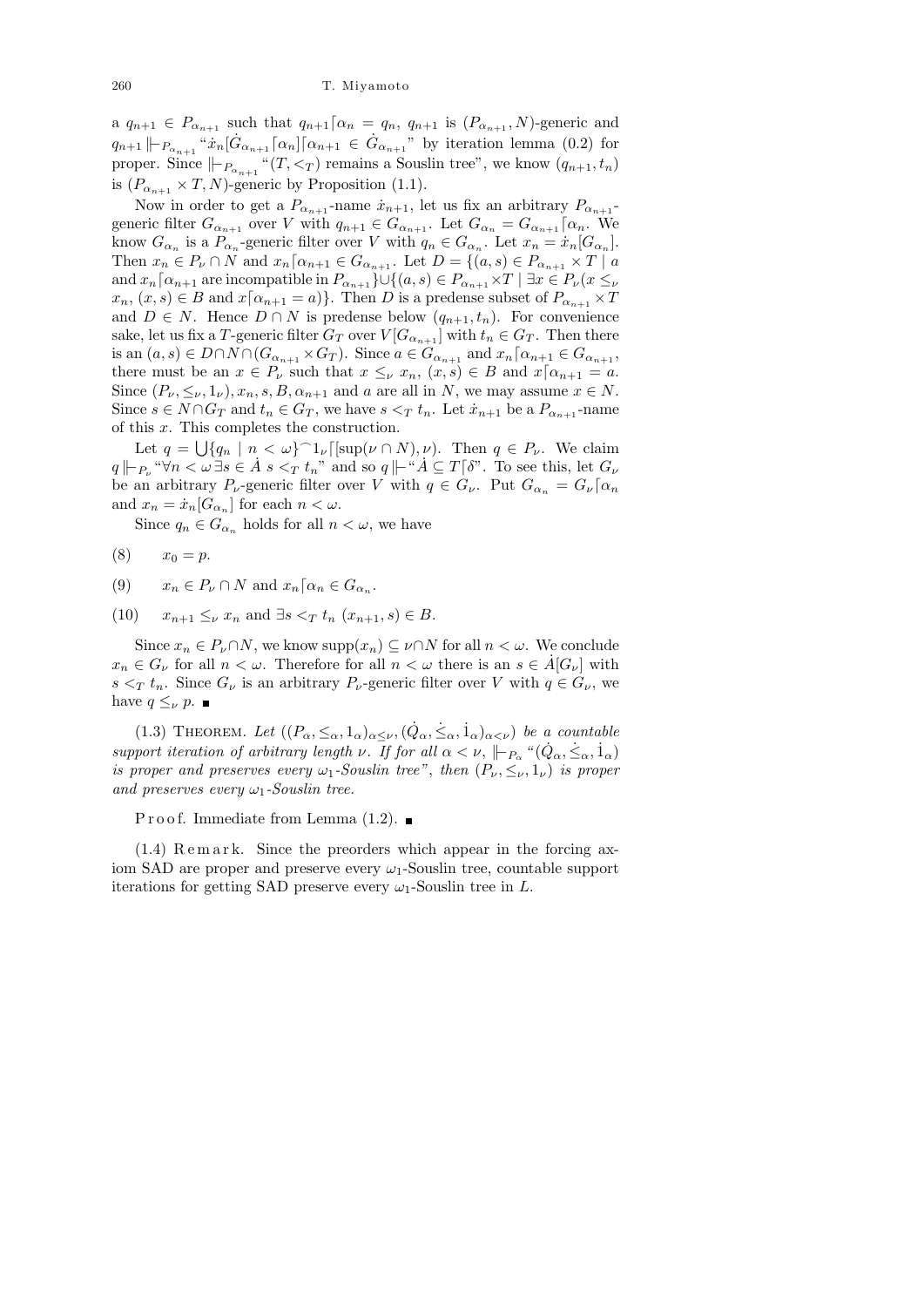a  $q_{n+1} \in P_{\alpha_{n+1}}$  such that  $q_{n+1} \lceil \alpha_n = q_n, q_{n+1}$  is  $(P_{\alpha_{n+1}}, N)$ -generic and  $q_{n+1}\|P_{\alpha_{n+1}}\ddot{x}_n[\dot{G}_{\alpha_{n+1}}\lceil\alpha_n]\lceil\alpha_{n+1}\in \dot{G}_{\alpha_{n+1}}$ " by iteration lemma (0.2) for proper. Since  $\|\n-_{P_{\alpha_{n+1}}} \cdot (T, \leq_T) \right)$  remains a Souslin tree", we know  $(q_{n+1}, t_n)$ is  $(P_{\alpha_{n+1}} \times T, N)$ -generic by Proposition (1.1).

Now in order to get a  $P_{\alpha_{n+1}}$ -name  $\dot{x}_{n+1}$ , let us fix an arbitrary  $P_{\alpha_{n+1}}$ generic filter  $G_{\alpha_{n+1}}$  over V with  $q_{n+1} \in G_{\alpha_{n+1}}$ . Let  $G_{\alpha_n} = G_{\alpha_{n+1}} \lceil \alpha_n$ . We know  $G_{\alpha_n}$  is a  $P_{\alpha_n}$ -generic filter over V with  $q_n \in G_{\alpha_n}$ . Let  $x_n = \dot{x}_n[G_{\alpha_n}]$ . Then  $x_n \in P_\nu \cap N$  and  $x_n \lceil \alpha_{n+1} \in G_{\alpha_{n+1}}$ . Let  $D = \{(a, s) \in P_{\alpha_{n+1}} \times T \mid a$ and  $x_n[\alpha_{n+1}]$  are incompatible in  $P_{\alpha_{n+1}}\}\cup\{(a,s)\in P_{\alpha_{n+1}}\times T\mid \exists x\in P_{\nu}(x\leq \nu\})$  $x_n, (x, s) \in B$  and  $x\lceil \alpha_{n+1} = a \rceil$ . Then D is a predense subset of  $P_{\alpha_{n+1}} \times T$ and  $D \in N$ . Hence  $D \cap N$  is predense below  $(q_{n+1}, t_n)$ . For convenience sake, let us fix a T-generic filter  $G_T$  over  $V[G_{\alpha_{n+1}}]$  with  $t_n \in G_T$ . Then there is an  $(a, s) \in D \cap N \cap (G_{\alpha_{n+1}} \times G_T)$ . Since  $a \in G_{\alpha_{n+1}}$  and  $x_n \lceil \alpha_{n+1} \in G_{\alpha_{n+1}}$ , there must be an  $x \in P_\nu$  such that  $x \leq_\nu x_n$ ,  $(x, s) \in B$  and  $x \mid \alpha_{n+1} = a$ . Since  $(P_\nu, \leq_\nu, 1_\nu), x_n, s, B, \alpha_{n+1}$  and a are all in N, we may assume  $x \in N$ . Since  $s \in N \cap G_T$  and  $t_n \in G_T$ , we have  $s <_T t_n$ . Let  $\dot{x}_{n+1}$  be a  $P_{\alpha_{n+1}}$ -name of this  $x$ . This completes the construction.

Let  $q = \bigcup \{q_n \mid n < \omega\}^{\frown} 1_{\nu}[[\sup(\nu \cap N), \nu)]$ . Then  $q \in P_{\nu}$ . We claim  $q \Vdash_{P_{\nu}} \ulcorner \forall n \lt \omega \exists s \in A \text{ } s \lt_{T} t_{n}$ " and so  $q \Vdash \ulcorner A \subseteq T[\delta$ ". To see this, let  $G_{\nu}$ be an arbitrary  $P_{\nu}$ -generic filter over V with  $q \in G_{\nu}$ . Put  $G_{\alpha_n} = G_{\nu} \lceil \alpha_n \rceil$ and  $x_n = \dot{x}_n[G_{\alpha_n}]$  for each  $n < \omega$ .

Since  $q_n \in G_{\alpha_n}$  holds for all  $n < \omega$ , we have

- (8)  $x_0 = p$ .
- (9)  $x_n \in P_\nu \cap N$  and  $x_n \lceil \alpha_n \in G_{\alpha_n}$ .
- (10)  $x_{n+1} \leq_{\nu} x_n$  and  $\exists s <_{T} t_n$   $(x_{n+1}, s) \in B$ .

Since  $x_n \in P_\nu \cap N$ , we know  $\text{supp}(x_n) \subseteq \nu \cap N$  for all  $n < \omega$ . We conclude  $x_n \in G_\nu$  for all  $n < \omega$ . Therefore for all  $n < \omega$  there is an  $s \in \dot{A}[G_\nu]$  with  $s <_\mathcal{T} t_n$ . Since  $G_\nu$  is an arbitrary  $P_\nu$ -generic filter over V with  $q \in G_\nu$ , we have  $q \leq_{\nu} p$ .

(1.3) THEOREM. Let  $((P_\alpha, \leq_\alpha, 1_\alpha)_{\alpha \leq \nu}, (\dot{Q}_\alpha, \dot{\leq}_\alpha, 1_\alpha)_{\alpha \leq \nu})$  be a countable support iteration of arbitrary length  $\nu$ . If for all  $\alpha < \nu$ ,  $\|P_{P_{\alpha}} \circ (\dot{Q}_{\alpha}, \dot{\le}_{\alpha}, \dot{1}_{\alpha})\|$ is proper and preserves every  $\omega_1$ -Souslin tree", then  $(P_\nu, \leq_\nu, 1_\nu)$  is proper and preserves every  $\omega_1$ -Souslin tree.

P r o o f. Immediate from Lemma  $(1.2)$ .

 $(1.4)$  Remark. Since the preorders which appear in the forcing axiom SAD are proper and preserve every  $\omega_1$ -Souslin tree, countable support iterations for getting SAD preserve every  $\omega_1$ -Souslin tree in L.